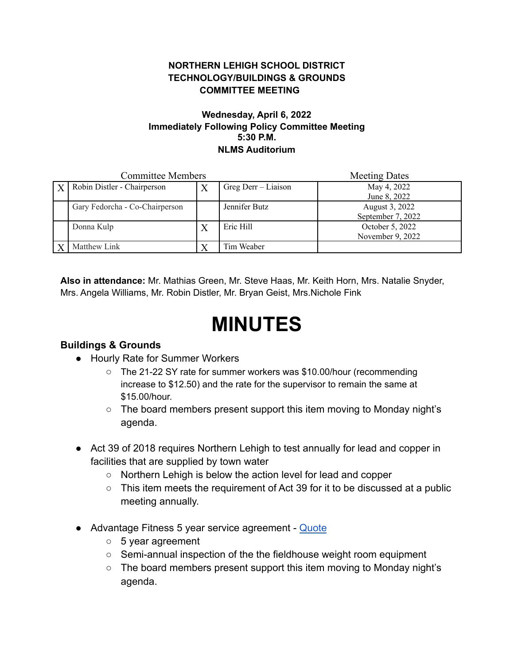### **NORTHERN LEHIGH SCHOOL DISTRICT TECHNOLOGY/BUILDINGS & GROUNDS COMMITTEE MEETING**

#### **Wednesday, April 6, 2022 Immediately Following Policy Committee Meeting 5:30 P.M. NLMS Auditorium**

| <b>Committee Members</b> |                                |   |                     | <b>Meeting Dates</b>                |
|--------------------------|--------------------------------|---|---------------------|-------------------------------------|
|                          | Robin Distler - Chairperson    |   | Greg Derr - Liaison | May 4, 2022<br>June 8, 2022         |
|                          | Gary Fedorcha - Co-Chairperson |   | Jennifer Butz       | August 3, 2022<br>September 7, 2022 |
|                          | Donna Kulp                     | X | Eric Hill           | October 5, 2022<br>November 9, 2022 |
|                          | Matthew Link                   |   | Tim Weaber          |                                     |

**Also in attendance:** Mr. Mathias Green, Mr. Steve Haas, Mr. Keith Horn, Mrs. Natalie Snyder, Mrs. Angela Williams, Mr. Robin Distler, Mr. Bryan Geist, Mrs.Nichole Fink

# **MINUTES**

### **Buildings & Grounds**

- Hourly Rate for Summer Workers
	- The 21-22 SY rate for summer workers was \$10.00/hour (recommending increase to \$12.50) and the rate for the supervisor to remain the same at \$15.00/hour.
	- The board members present support this item moving to Monday night's agenda.
- Act 39 of 2018 requires Northern Lehigh to test annually for lead and copper in facilities that are supplied by town water
	- Northern Lehigh is below the action level for lead and copper
	- $\circ$  This item meets the requirement of Act 39 for it to be discussed at a public meeting annually.
- Advantage Fitness 5 year service agreement [Quote](https://drive.google.com/file/d/1hvrUrvwVR6ReVzzmYLp258EsSRSkmwIw/view?usp=sharing)
	- 5 year agreement
	- Semi-annual inspection of the the fieldhouse weight room equipment
	- The board members present support this item moving to Monday night's agenda.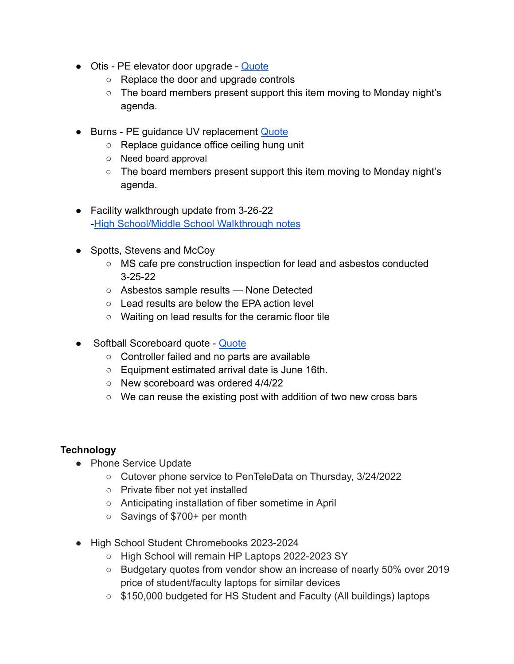- Otis PE elevator door upgrade [Quote](https://drive.google.com/file/d/1uRZBq6ImxwfzkjxzOzOh843jg2nMHF-O/view?usp=sharing)
	- Replace the door and upgrade controls
	- The board members present support this item moving to Monday night's agenda.
- Burns PE guidance UV replacement [Quote](https://drive.google.com/file/d/1-AaTyUPUplJuDuOfAaOECtq_3lnFw9tP/view?usp=sharing)
	- Replace guidance office ceiling hung unit
	- Need board approval
	- $\circ$  The board members present support this item moving to Monday night's agenda.
- Facility walkthrough update from 3-26-22 -[High School/Middle School Walkthrough notes](https://docs.google.com/document/d/18mc0bGTgPYa1CjrSULNyftFnjsmhmb3w/edit?usp=sharing&ouid=102609620345304660753&rtpof=true&sd=true)
- Spotts, Stevens and McCoy
	- MS cafe pre construction inspection for lead and asbestos conducted 3-25-22
	- Asbestos sample results None Detected
	- Lead results are below the EPA action level
	- Waiting on lead results for the ceramic floor tile
- Softball Scoreboard quote [Quote](https://drive.google.com/file/d/1-uscmOcHuCERW5dQ60SrvSzSpALyAkEQ/view?usp=sharing)
	- Controller failed and no parts are available
	- Equipment estimated arrival date is June 16th.
	- New scoreboard was ordered 4/4/22
	- We can reuse the existing post with addition of two new cross bars

## **Technology**

- Phone Service Update
	- Cutover phone service to PenTeleData on Thursday, 3/24/2022
	- Private fiber not yet installed
	- Anticipating installation of fiber sometime in April
	- Savings of \$700+ per month
- High School Student Chromebooks 2023-2024
	- High School will remain HP Laptops 2022-2023 SY
	- Budgetary quotes from vendor show an increase of nearly 50% over 2019 price of student/faculty laptops for similar devices
	- \$150,000 budgeted for HS Student and Faculty (All buildings) laptops